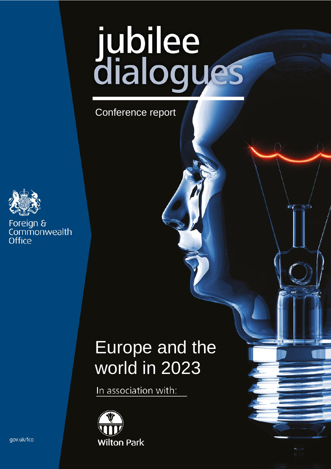# jubilee<br>dialogues

Conference report



Foreign & Commonwealth Office

# Europe and the world in 2023

In association with:



gov.uk/fco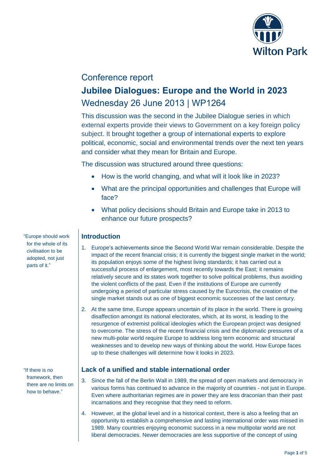

## Conference report

# **Jubilee Dialogues: Europe and the World in 2023** Wednesday 26 June 2013 | WP1264

This discussion was the second in the Jubilee Dialogue series in which external experts provide their views to Government on a key foreign policy subject. It brought together a group of international experts to explore political, economic, social and environmental trends over the next ten years and consider what they mean for Britain and Europe.

The discussion was structured around three questions:

- How is the world changing, and what will it look like in 2023?
- What are the principal opportunities and challenges that Europe will face?
- What policy decisions should Britain and Europe take in 2013 to enhance our future prospects?

### **Introduction**

- 1. Europe's achievements since the Second World War remain considerable. Despite the impact of the recent financial crisis; it is currently the biggest single market in the world; its population enjoys some of the highest living standards; it has carried out a successful process of enlargement, most recently towards the East; it remains relatively secure and its states work together to solve political problems, thus avoiding the violent conflicts of the past. Even if the institutions of Europe are currently undergoing a period of particular stress caused by the Eurocrisis, the creation of the single market stands out as one of biggest economic successes of the last century.
- 2. At the same time, Europe appears uncertain of its place in the world. There is growing disaffection amongst its national electorates, which, at its worst, is leading to the resurgence of extremist political ideologies which the European project was designed to overcome. The stress of the recent financial crisis and the diplomatic pressures of a new multi-polar world require Europe to address long term economic and structural weaknesses and to develop new ways of thinking about the world. How Europe faces up to these challenges will determine how it looks in 2023.

### **Lack of a unified and stable international order**

- 3. Since the fall of the Berlin Wall in 1989, the spread of open markets and democracy in various forms has continued to advance in the majority of countries - not just in Europe. Even where authoritarian regimes are in power they are less draconian than their past incarnations and they recognise that they need to reform.
- 4. However, at the global level and in a historical context, there is also a feeling that an opportunity to establish a comprehensive and lasting international order was missed in 1989. Many countries enjoying economic success in a new multipolar world are not liberal democracies. Newer democracies are less supportive of the concept of using

"Europe should work for the whole of its civilisation to be adopted, not just parts of it."

"If there is no framework, then there are no limits on how to behave."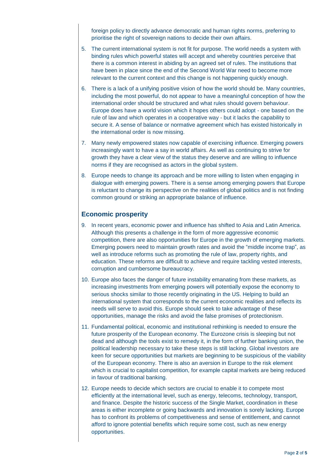foreign policy to directly advance democratic and human rights norms, preferring to prioritise the right of sovereign nations to decide their own affairs.

- 5. The current international system is not fit for purpose. The world needs a system with binding rules which powerful states will accept and whereby countries perceive that there is a common interest in abiding by an agreed set of rules. The institutions that have been in place since the end of the Second World War need to become more relevant to the current context and this change is not happening quickly enough.
- 6. There is a lack of a unifying positive vision of how the world should be. Many countries, including the most powerful, do not appear to have a meaningful conception of how the international order should be structured and what rules should govern behaviour. Europe does have a world vision which it hopes others could adopt - one based on the rule of law and which operates in a cooperative way - but it lacks the capability to secure it. A sense of balance or normative agreement which has existed historically in the international order is now missing.
- 7. Many newly empowered states now capable of exercising influence. Emerging powers increasingly want to have a say in world affairs. As well as continuing to strive for growth they have a clear view of the status they deserve and are willing to influence norms if they are recognised as actors in the global system.
- 8. Europe needs to change its approach and be more willing to listen when engaging in dialogue with emerging powers. There is a sense among emerging powers that Europe is reluctant to change its perspective on the realities of global politics and is not finding common ground or striking an appropriate balance of influence.

### **Economic prosperity**

- 9. In recent years, economic power and influence has shifted to Asia and Latin America. Although this presents a challenge in the form of more aggressive economic competition, there are also opportunities for Europe in the growth of emerging markets. Emerging powers need to maintain growth rates and avoid the "middle income trap", as well as introduce reforms such as promoting the rule of law, property rights, and education. These reforms are difficult to achieve and require tackling vested interests, corruption and cumbersome bureaucracy.
- 10. Europe also faces the danger of future instability emanating from these markets, as increasing investments from emerging powers will potentially expose the economy to serious shocks similar to those recently originating in the US. Helping to build an international system that corresponds to the current economic realities and reflects its needs will serve to avoid this. Europe should seek to take advantage of these opportunities, manage the risks and avoid the false promises of protectionism.
- 11. Fundamental political, economic and institutional rethinking is needed to ensure the future prosperity of the European economy. The Eurozone crisis is sleeping but not dead and although the tools exist to remedy it, in the form of further banking union, the political leadership necessary to take these steps is still lacking. Global investors are keen for secure opportunities but markets are beginning to be suspicious of the viability of the European economy. There is also an aversion in Europe to the risk element which is crucial to capitalist competition, for example capital markets are being reduced in favour of traditional banking.
- 12. Europe needs to decide which sectors are crucial to enable it to compete most efficiently at the international level, such as energy, telecoms, technology, transport, and finance. Despite the historic success of the Single Market, coordination in these areas is either incomplete or going backwards and innovation is sorely lacking. Europe has to confront its problems of competitiveness and sense of entitlement, and cannot afford to ignore potential benefits which require some cost, such as new energy opportunities.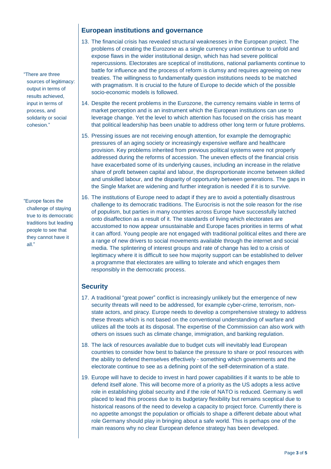"There are three sources of legitimacy: output in terms of results achieved, input in terms of process, and solidarity or social cohesion."

"Europe faces the challenge of staying true to its democratic traditions but leading people to see that they cannot have it all."

### **European institutions and governance**

- 13. The financial crisis has revealed structural weaknesses in the European project. The problems of creating the Eurozone as a single currency union continue to unfold and expose flaws in the wider institutional design, which has had severe political repercussions. Electorates are sceptical of institutions, national parliaments continue to battle for influence and the process of reform is clumsy and requires agreeing on new treaties. The willingness to fundamentally question institutions needs to be matched with pragmatism. It is crucial to the future of Europe to decide which of the possible socio-economic models is followed.
- 14. Despite the recent problems in the Eurozone, the currency remains viable in terms of market perception and is an instrument which the European institutions can use to leverage change. Yet the level to which attention has focused on the crisis has meant that political leadership has been unable to address other long term or future problems.
- 15. Pressing issues are not receiving enough attention, for example the demographic pressures of an aging society or increasingly expensive welfare and healthcare provision. Key problems inherited from previous political systems were not properly addressed during the reforms of accession. The uneven effects of the financial crisis have exacerbated some of its underlying causes, including an increase in the relative share of profit between capital and labour, the disproportionate income between skilled and unskilled labour, and the disparity of opportunity between generations. The gaps in the Single Market are widening and further integration is needed if it is to survive.
- 16. The institutions of Europe need to adapt if they are to avoid a potentially disastrous challenge to its democratic traditions. The Eurocrisis is not the sole reason for the rise of populism, but parties in many countries across Europe have successfully latched onto disaffection as a result of it. The standards of living which electorates are accustomed to now appear unsustainable and Europe faces priorities in terms of what it can afford. Young people are not engaged with traditional political elites and there are a range of new drivers to social movements available through the internet and social media. The splintering of interest groups and rate of change has led to a crisis of legitimacy where it is difficult to see how majority support can be established to deliver a programme that electorates are willing to tolerate and which engages them responsibly in the democratic process.

### **Security**

- 17. A traditional "great power" conflict is increasingly unlikely but the emergence of new security threats will need to be addressed, for example cyber-crime, terrorism, nonstate actors, and piracy. Europe needs to develop a comprehensive strategy to address these threats which is not based on the conventional understanding of warfare and utilizes all the tools at its disposal. The expertise of the Commission can also work with others on issues such as climate change, immigration, and banking regulation.
- 18. The lack of resources available due to budget cuts will inevitably lead European countries to consider how best to balance the pressure to share or pool resources with the ability to defend themselves effectively - something which governments and the electorate continue to see as a defining point of the self-determination of a state.
- 19. Europe will have to decide to invest in hard power capabilities if it wants to be able to defend itself alone. This will become more of a priority as the US adopts a less active role in establishing global security and if the role of NATO is reduced. Germany is well placed to lead this process due to its budgetary flexibility but remains sceptical due to historical reasons of the need to develop a capacity to project force. Currently there is no appetite amongst the population or officials to shape a different debate about what role Germany should play in bringing about a safe world. This is perhaps one of the main reasons why no clear European defence strategy has been developed.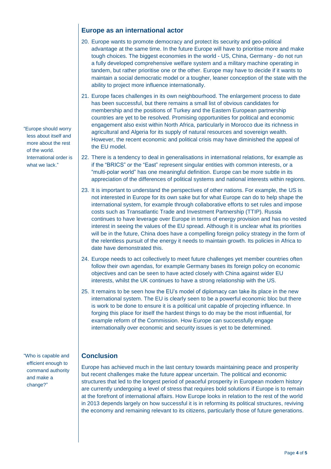### **Europe as an international actor**

- 20. Europe wants to promote democracy and protect its security and geo-political advantage at the same time. In the future Europe will have to prioritise more and make tough choices. The biggest economies in the world - US, China, Germany - do not run a fully developed comprehensive welfare system and a military machine operating in tandem, but rather prioritise one or the other. Europe may have to decide if it wants to maintain a social democratic model or a tougher, leaner conception of the state with the ability to project more influence internationally.
- 21. Europe faces challenges in its own neighbourhood. The enlargement process to date has been successful, but there remains a small list of obvious candidates for membership and the positions of Turkey and the Eastern European partnership countries are yet to be resolved. Promising opportunities for political and economic engagement also exist within North Africa, particularly in Morocco due its richness in agricultural and Algeria for its supply of natural resources and sovereign wealth. However, the recent economic and political crisis may have diminished the appeal of the EU model.
- 22. There is a tendency to deal in generalisations in international relations, for example as if the "BRICS" or the "East" represent singular entities with common interests, or a "multi-polar world" has one meaningful definition. Europe can be more subtle in its appreciation of the differences of political systems and national interests within regions.
- 23. It is important to understand the perspectives of other nations. For example, the US is not interested in Europe for its own sake but for what Europe can do to help shape the international system, for example through collaborative efforts to set rules and impose costs such as Transatlantic Trade and Investment Partnership (TTIP). Russia continues to have leverage over Europe in terms of energy provision and has no vested interest in seeing the values of the EU spread. Although it is unclear what its priorities will be in the future, China does have a compelling foreign policy strategy in the form of the relentless pursuit of the energy it needs to maintain growth. Its policies in Africa to date have demonstrated this.
- 24. Europe needs to act collectively to meet future challenges yet member countries often follow their own agendas, for example Germany bases its foreign policy on economic objectives and can be seen to have acted closely with China against wider EU interests, whilst the UK continues to have a strong relationship with the US.
- 25. It remains to be seen how the EU's model of diplomacy can take its place in the new international system. The EU is clearly seen to be a powerful economic bloc but there is work to be done to ensure it is a political unit capable of projecting influence. In forging this place for itself the hardest things to do may be the most influential, for example reform of the Commission. How Europe can successfully engage internationally over economic and security issues is yet to be determined.

"Who is capable and efficient enough to command authority and make a change?"

### **Conclusion**

Europe has achieved much in the last century towards maintaining peace and prosperity but recent challenges make the future appear uncertain. The political and economic structures that led to the longest period of peaceful prosperity in European modern history are currently undergoing a level of stress that requires bold solutions if Europe is to remain at the forefront of international affairs. How Europe looks in relation to the rest of the world in 2013 depends largely on how successful it is in reforming its political structures, reviving the economy and remaining relevant to its citizens, particularly those of future generations.

"Europe should worry less about itself and more about the rest of the world. International order is what we lack."